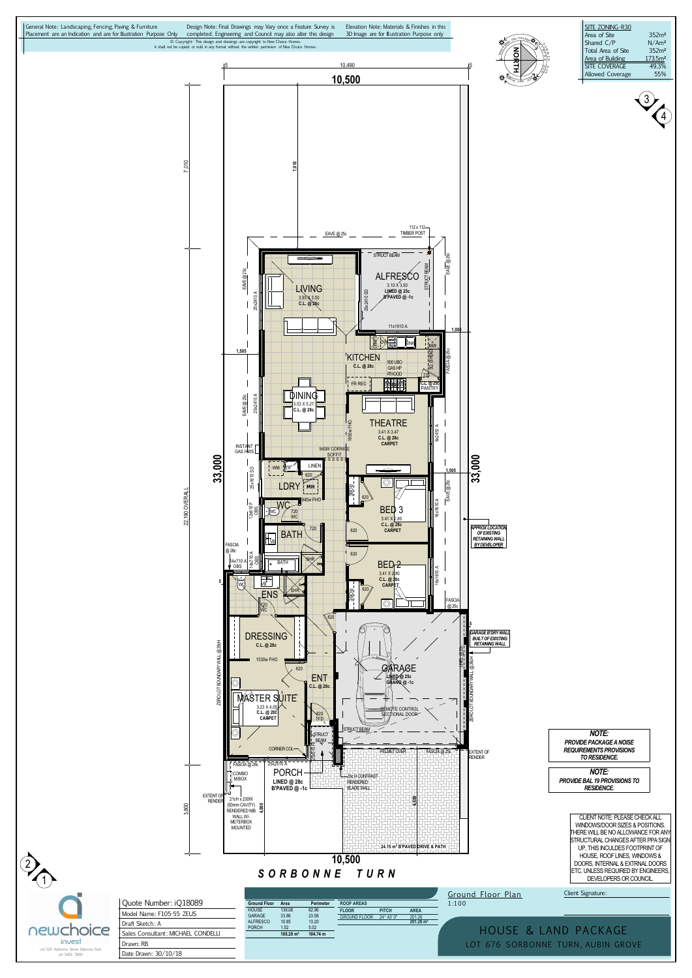